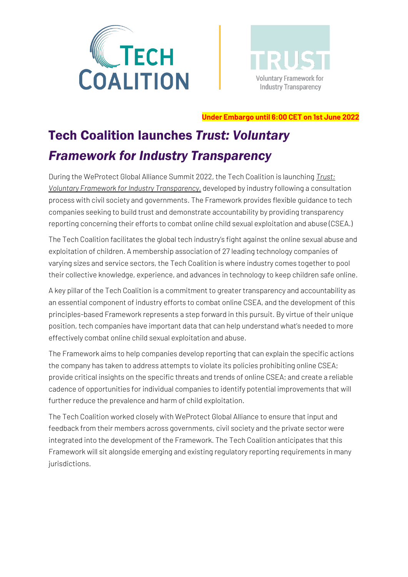



**Under Embargo until 6:00 CET on 1st June 2022**

# Tech Coalition launches *Trust: Voluntary Framework for Industry Transparency*

During the WeProtect Global Alliance Summit 2022, the Tech Coalition is launching *[Trust:](https://www.technologycoalition.org/knowledge-hub/trust-voluntary-framework-for-industry-transparency)  [Voluntary Framework for Industry Transparency](https://www.technologycoalition.org/knowledge-hub/trust-voluntary-framework-for-industry-transparency)*, developed by industry following a consultation process with civil society and governments. The Framework provides flexible guidance to tech companies seeking to build trust and demonstrate accountability by providing transparency reporting concerning their efforts to combat online child sexual exploitation and abuse (CSEA.)

The Tech Coalition facilitates the global tech industry's fight against the online sexual abuse and exploitation of children. A membership association of 27 leading technology companies of varying sizes and service sectors, the Tech Coalition is where industry comes together to pool their collective knowledge, experience, and advances in technology to keep children safe online.

A key pillar of the Tech Coalition is a commitment to greater transparency and accountability as an essential component of industry efforts to combat online CSEA, and the development of this principles-based Framework represents a step forward in this pursuit. By virtue of their unique position, tech companies have important data that can help understand what's needed to more effectively combat online child sexual exploitation and abuse.

The Framework aims to help companies develop reporting that can explain the specific actions the company has taken to address attempts to violate its policies prohibiting online CSEA; provide critical insights on the specific threats and trends of online CSEA; and create a reliable cadence of opportunities for individual companies to identify potential improvements that will further reduce the prevalence and harm of child exploitation.

The Tech Coalition worked closely with WeProtect Global Alliance to ensure that input and feedback from their members across governments, civil society and the private sector were integrated into the development of the Framework. The Tech Coalition anticipates that this Framework will sit alongside emerging and existing regulatory reporting requirements in many jurisdictions.